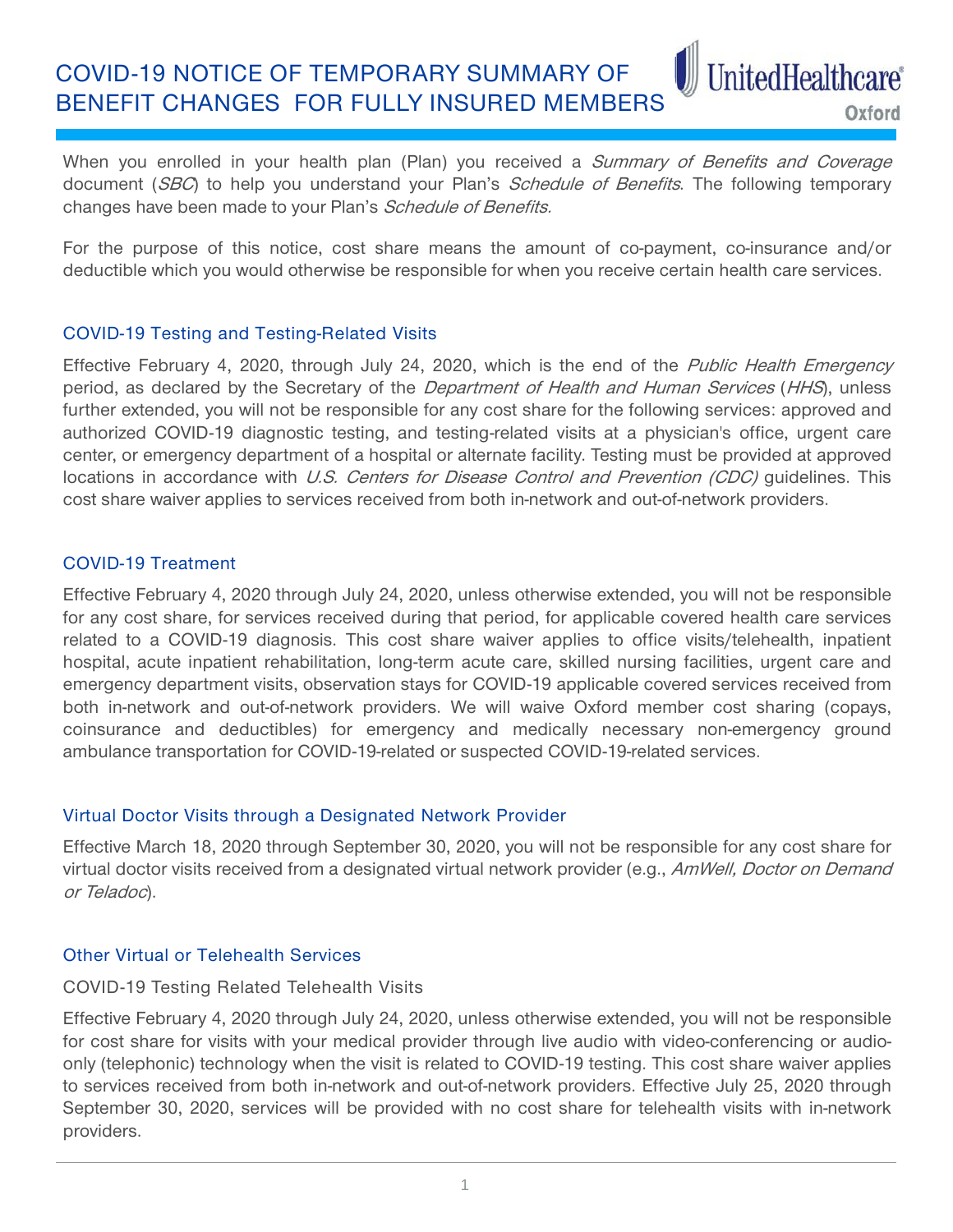COVID-19 NOTICE OF TEMPORARY SUMMARY OF BENEFIT CHANGES FOR FULLY INSURED MEMBERS

Oxford

UnitedHealthcare®

When you enrolled in your health plan (Plan) you received a Summary of Benefits and Coverage document (SBC) to help you understand your Plan's Schedule of Benefits. The following temporary changes have been made to your Plan's *Schedule of Benefits.* 

For the purpose of this notice, cost share means the amount of co-payment, co-insurance and/or deductible which you would otherwise be responsible for when you receive certain health care services.

## COVID-19 Testing and Testing-Related Visits

Effective February 4, 2020, through July 24, 2020, which is the end of the Public Health Emergency period, as declared by the Secretary of the *Department of Health and Human Services* (HHS), unless further extended, you will not be responsible for any cost share for the following services: approved and authorized COVID-19 diagnostic testing, and testing-related visits at a physician's office, urgent care center, or emergency department of a hospital or alternate facility. Testing must be provided at approved locations in accordance with U.S. Centers for Disease Control and Prevention (CDC) guidelines. This cost share waiver applies to services received from both in-network and out-of-network providers.

## COVID-19 Treatment

Effective February 4, 2020 through July 24, 2020, unless otherwise extended, you will not be responsible for any cost share, for services received during that period, for applicable covered health care services related to a COVID-19 diagnosis. This cost share waiver applies to office visits/telehealth, inpatient hospital, acute inpatient rehabilitation, long-term acute care, skilled nursing facilities, urgent care and emergency department visits, observation stays for COVID-19 applicable covered services received from both in-network and out-of-network providers. We will waive Oxford member cost sharing (copays, coinsurance and deductibles) for emergency and medically necessary non-emergency ground ambulance transportation for COVID-19-related or suspected COVID-19-related services.

# Virtual Doctor Visits through a Designated Network Provider

Effective March 18, 2020 through September 30, 2020, you will not be responsible for any cost share for virtual doctor visits received from a designated virtual network provider (e.g., AmWell, Doctor on Demand or Teladoc).

# Other Virtual or Telehealth Services

## COVID-19 Testing Related Telehealth Visits

Effective February 4, 2020 through July 24, 2020, unless otherwise extended, you will not be responsible for cost share for visits with your medical provider through live audio with video-conferencing or audioonly (telephonic) technology when the visit is related to COVID-19 testing. This cost share waiver applies to services received from both in-network and out-of-network providers. Effective July 25, 2020 through September 30, 2020, services will be provided with no cost share for telehealth visits with in-network providers.